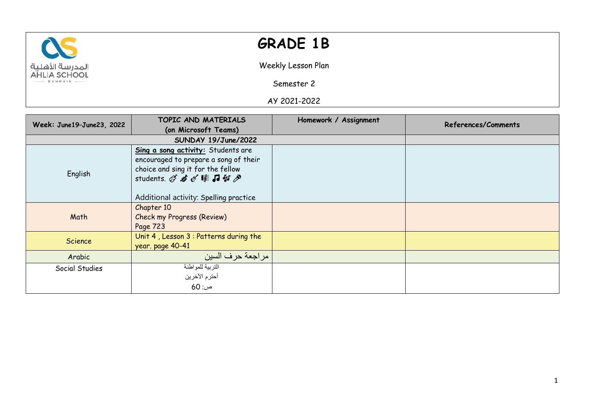

## **GRADE 1B**

Weekly Lesson Plan

Semester 2

AY 2021-2022

| Week: June19-June23, 2022 | TOPIC AND MATERIALS                                                                                                                                                              | Homework / Assignment | References/Comments |
|---------------------------|----------------------------------------------------------------------------------------------------------------------------------------------------------------------------------|-----------------------|---------------------|
|                           | (on Microsoft Teams)                                                                                                                                                             |                       |                     |
|                           | SUNDAY 19/June/2022                                                                                                                                                              |                       |                     |
| English                   | Sing a song activity: Students are<br>encouraged to prepare a song of their<br>choice and sing it for the fellow<br>students. Q 右《睦日引》<br>Additional activity: Spelling practice |                       |                     |
| Math                      | Chapter 10<br><b>Check my Progress (Review)</b><br>Page 723                                                                                                                      |                       |                     |
| <b>Science</b>            | Unit 4, Lesson 3 : Patterns during the<br>year. page 40-41                                                                                                                       |                       |                     |
| Arabic                    | مراجعة حرف السين                                                                                                                                                                 |                       |                     |
| Social Studies            | التربية للمواطنة<br>أحترم الآخرين<br>ص: 60                                                                                                                                       |                       |                     |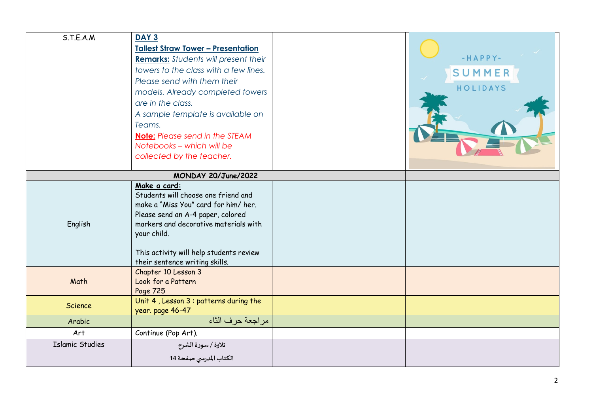| S.T.E.A.M              | <b>DAY 3</b>                                       |           |
|------------------------|----------------------------------------------------|-----------|
|                        | <b>Tallest Straw Tower - Presentation</b>          |           |
|                        | <b>Remarks:</b> Students will present their        | $-HAPPY-$ |
|                        | towers to the class with a few lines.              | SUMMER    |
|                        | Please send with them their                        |           |
|                        | models. Already completed towers                   | HOLIDAYS  |
|                        | are in the class.                                  |           |
|                        | A sample template is available on                  |           |
|                        | Teams.                                             |           |
|                        | <b>Note:</b> Please send in the STEAM              |           |
|                        | Notebooks - which will be                          |           |
|                        | collected by the teacher.                          |           |
|                        | MONDAY 20/June/2022                                |           |
|                        | Make a card:                                       |           |
|                        | Students will choose one friend and                |           |
|                        | make a "Miss You" card for him/her.                |           |
|                        | Please send an A-4 paper, colored                  |           |
| English                | markers and decorative materials with              |           |
|                        | your child.                                        |           |
|                        | This activity will help students review            |           |
|                        | their sentence writing skills.                     |           |
|                        | Chapter 10 Lesson 3                                |           |
| Math                   | Look for a Pattern                                 |           |
|                        | Page 725<br>Unit 4, Lesson 3 : patterns during the |           |
| Science                | year. page 46-47                                   |           |
| Arabic                 | مراجعة حرف الثاء                                   |           |
| Art                    | Continue (Pop Art).                                |           |
| <b>Islamic Studies</b> | تلاوة / سورة الشرح                                 |           |
|                        | الكتاب المدرسي صفحة 14                             |           |
|                        |                                                    |           |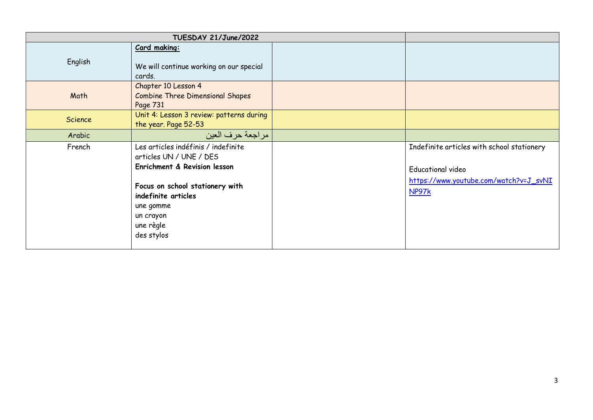|                | TUESDAY 21/June/2022                                                                                                                                                                                          |                                                                                                                           |
|----------------|---------------------------------------------------------------------------------------------------------------------------------------------------------------------------------------------------------------|---------------------------------------------------------------------------------------------------------------------------|
| English        | Card making:<br>We will continue working on our special<br>cards.                                                                                                                                             |                                                                                                                           |
| Math           | Chapter 10 Lesson 4<br><b>Combine Three Dimensional Shapes</b><br>Page 731                                                                                                                                    |                                                                                                                           |
| <b>Science</b> | Unit 4: Lesson 3 review: patterns during<br>the year. Page 52-53                                                                                                                                              |                                                                                                                           |
| Arabic         | مراجعة حرف العين                                                                                                                                                                                              |                                                                                                                           |
| French         | Les articles indéfinis / indefinite<br>articles UN / UNE / DES<br>Enrichment & Revision lesson<br>Focus on school stationery with<br>indefinite articles<br>une gomme<br>un crayon<br>une règle<br>des stylos | Indefinite articles with school stationery<br><b>Educational video</b><br>https://www.youtube.com/watch?v=J_svNI<br>NP97k |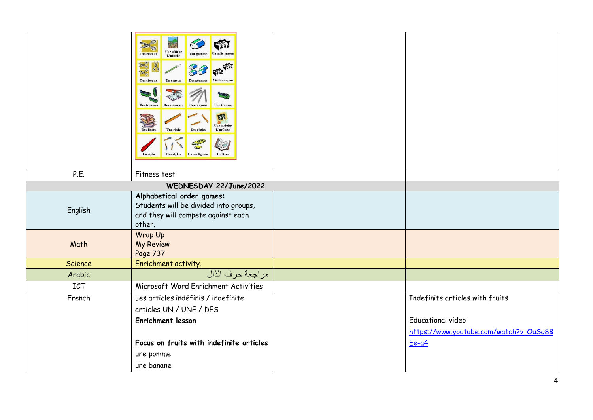|         | $\gg$<br>Une affiche<br>L'affiche<br>Des ciseaux<br>Des ciseaux<br>Un crayon<br>2 taille-cravor<br>Des trousses<br><b>Des classeurs</b><br><b>Des crayons</b><br><b>Une trousse</b><br>OZ<br>Une ardoise<br>L'ardoise<br>Des règles<br><b>Des livre</b><br>Une règle<br>Un surligneur<br>Des stylos<br>Un livr |                                        |
|---------|----------------------------------------------------------------------------------------------------------------------------------------------------------------------------------------------------------------------------------------------------------------------------------------------------------------|----------------------------------------|
| P.E.    | Fitness test                                                                                                                                                                                                                                                                                                   |                                        |
|         | WEDNESDAY 22/June/2022                                                                                                                                                                                                                                                                                         |                                        |
| English | Alphabetical order games:<br>Students will be divided into groups,<br>and they will compete against each<br>other.                                                                                                                                                                                             |                                        |
| Math    | Wrap Up<br><b>My Review</b><br>Page 737                                                                                                                                                                                                                                                                        |                                        |
| Science | Enrichment activity.                                                                                                                                                                                                                                                                                           |                                        |
| Arabic  | مراجعة حرف الذال                                                                                                                                                                                                                                                                                               |                                        |
| ICT     | Microsoft Word Enrichment Activities                                                                                                                                                                                                                                                                           |                                        |
| French  | Les articles indéfinis / indefinite                                                                                                                                                                                                                                                                            | Indefinite articles with fruits        |
|         | articles UN / UNE / DES                                                                                                                                                                                                                                                                                        |                                        |
|         | <b>Enrichment lesson</b>                                                                                                                                                                                                                                                                                       | <b>Educational video</b>               |
|         |                                                                                                                                                                                                                                                                                                                | https://www.youtube.com/watch?v=OuSq8B |
|         | Focus on fruits with indefinite articles<br>une pomme                                                                                                                                                                                                                                                          | Ee-a4                                  |
|         | une banane                                                                                                                                                                                                                                                                                                     |                                        |